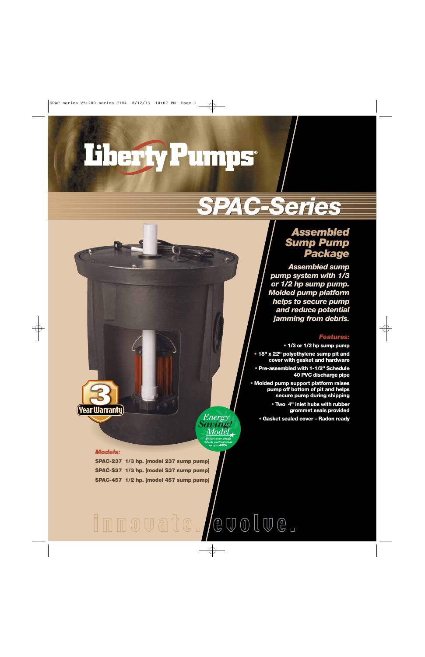# Liberty Pumps

# *SPAC-Series SPAC-Series*

# *Assembled Sump Pump Package*

*Assembled sump pump system with 1/3 or 1/2 hp sump pump. Molded pump platform helps to secure pump and reduce potential jamming from debris.*

#### *Features:*

**• 1/3 or 1/2 hp sump pump**

**• 18" x 22" polyethylene sump pit and cover with gasket and hardware** 

**• Pre-assembled with 1-1/2" Schedule 40 PVC discharge pipe**

**• Molded pump support platform raises pump off bottom of pit and helps secure pump during shipping**

> **• Two 4" inlet hubs with rubber grommet seals provided**

**• Gasket sealed cover – Radon ready**



#### *Models:*

(Year Warranty)

**SPAC-237 1/3 hp. (model 237 sump pump) SPAC-S37 1/3 hp. (model S37 sump pump) SPAC-457 1/2 hp. (model 457 sump pump)**

# $@VV0@VV@{1}$ Innovate.